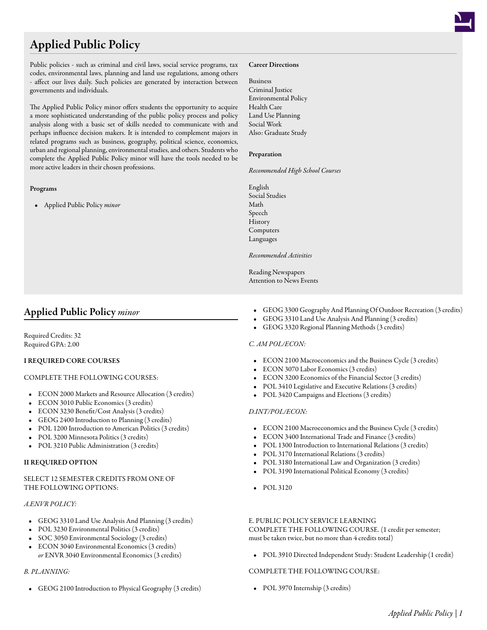# Applied Public Policy

Public policies - such as criminal and civil laws, social service programs, tax codes, environmental laws, planning and land use regulations, among others - affect our lives daily. Such policies are generated by interaction between governments and individuals.

The Applied Public Policy minor offers students the opportunity to acquire a more sophisticated understanding of the public policy process and policy analysis along with a basic set of skills needed to communicate with and perhaps influence decision makers. It is intended to complement majors in related programs such as business, geography, political science, economics, urban and regional planning, environmental studies, and others. Students who complete the Applied Public Policy minor will have the tools needed to be more active leaders in their chosen professions.

# Programs

• Applied Public Policy *minor*

#### Career Directions

Business Criminal Justice Environmental Policy Health Care Land Use Planning Social Work Also: Graduate Study

#### Preparation

*Recommended High School Courses*

English Social Studies Math Speech History Computers Languages

#### *Recommended Activities*

Reading Newspapers Attention to News Events

# Applied Public Policy *minor*

Required Credits: 32 Required GPA: 2.00

# I REQUIRED CORE COURSES

#### COMPLETE THE FOLLOWING COURSES:

- ECON 2000 [Markets and Resource Allocation](/academics/catalog/20145/courses/econ/2000) (3 credits)
- ECON 3010 [Public Economics](/academics/catalog/20145/courses/econ/3010) (3 credits)
- ECON 3230 [Benefit/Cost Analysis](/academics/catalog/20145/courses/econ/3230) (3 credits)
- GEOG 2400 [Introduction to Planning](/academics/catalog/20145/courses/geog/2400) (3 credits)
- POL 1200 [Introduction to American Politics](/academics/catalog/20145/courses/pol/1200) (3 credits)
- POL 3200 [Minnesota Politics](/academics/catalog/20145/courses/pol/3200) (3 credits)
- POL 3210 [Public Administration](/academics/catalog/20145/courses/pol/3210) (3 credits)

#### II REQUIRED OPTION

#### SELECT 12 SEMESTER CREDITS FROM ONE OF THE FOLLOWING OPTIONS:

#### *A.ENVR POLICY:*

- GEOG 3310 [Land Use Analysis And Planning](/academics/catalog/20145/courses/geog/3310) (3 credits)
- POL 3230 [Environmental Politics](/academics/catalog/20145/courses/pol/3230) (3 credits)
- SOC 3050 [Environmental Sociology](/academics/catalog/20145/courses/soc/3050) (3 credits)
- ECON 3040 [Environmental Economics](/academics/catalog/20145/courses/econ/3040) (3 credits) *or* ENVR 3040 [Environmental Economics](/academics/catalog/20145/courses/envr/3040) (3 credits)

# *B. PLANNING:*

• GEOG 2100 [Introduction to Physical Geography](/academics/catalog/20145/courses/geog/2100) (3 credits)

- GEOG 3300 [Geography And Planning Of Outdoor Recreation](/academics/catalog/20145/courses/geog/3300) (3 credits)
- GEOG 3310 [Land Use Analysis And Planning](/academics/catalog/20145/courses/geog/3310) (3 credits)
- GEOG 3320 [Regional Planning Methods](/academics/catalog/20145/courses/geog/3320) (3 credits)

#### *C. AM POL/ECON:*

- ECON 2100 [Macroeconomics and the Business Cycle](/academics/catalog/20145/courses/econ/2100) (3 credits)
- ECON 3070 [Labor Economics](/academics/catalog/20145/courses/econ/3070) (3 credits)
- ECON 3200 [Economics of the Financial Sector](/academics/catalog/20145/courses/econ/3200) (3 credits)
- POL 3410 [Legislative and Executive Relations](/academics/catalog/20145/courses/pol/3410) (3 credits)
- POL 3420 [Campaigns and Elections](/academics/catalog/20145/courses/pol/3420) (3 credits)

# *D.INT/POL/ECON:*

- ECON 2100 [Macroeconomics and the Business Cycle](/academics/catalog/20145/courses/econ/2100) (3 credits)
- ECON 3400 [International Trade and Finance](/academics/catalog/20145/courses/econ/3400) (3 credits)
- POL 1300 [Introduction to International Relations](/academics/catalog/20145/courses/pol/1300) (3 credits)
- POL 3170 [International Relations](/academics/catalog/20145/courses/pol/3170) (3 credits)
- POL 3180 [International Law and Organization](/academics/catalog/20145/courses/pol/3180) (3 credits)
- POL 3190 [International Political Economy](/academics/catalog/20145/courses/pol/3190) (3 credits)
- POL 3120

# E. PUBLIC POLICY SERVICE LEARNING

COMPLETE THE FOLLOWING COURSE. (1 credit per semester; must be taken twice, but no more than 4 credits total)

• POL 3910 [Directed Independent Study: Student Leadership](/academics/catalog/20145/courses/pol/3910) (1 credit)

#### COMPLETE THE FOLLOWING COURSE:

• POL 3970 [Internship](/academics/catalog/20145/courses/pol/3970) (3 credits)

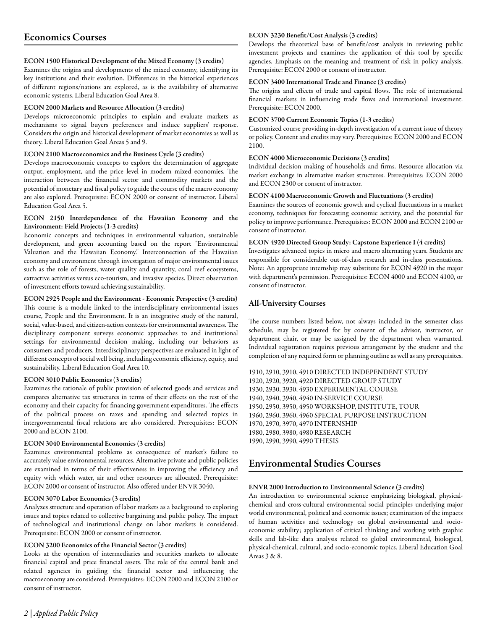# Economics Courses

# ECON 1500 Historical Development of the Mixed Economy (3 credits)

Examines the origins and developments of the mixed economy, identifying its key institutions and their evolution. Differences in the historical experiences of different regions/nations are explored, as is the availability of alternative economic systems. Liberal Education Goal Area 8.

# ECON 2000 Markets and Resource Allocation (3 credits)

Develops microeconomic principles to explain and evaluate markets as mechanisms to signal buyers preferences and induce suppliers' response. Considers the origin and historical development of market economies as well as theory. Liberal Education Goal Areas 5 and 9.

# ECON 2100 Macroeconomics and the Business Cycle (3 credits)

Develops macroeconomic concepts to explore the determination of aggregate output, employment, and the price level in modern mixed economies. The interaction between the financial sector and commodity markets and the potential of monetary and fiscal policy to guide the course of the macro economy are also explored. Prerequisite: ECON 2000 or consent of instructor. Liberal Education Goal Area 5.

#### ECON 2150 Interdependence of the Hawaiian Economy and the Environment: Field Projects (1-3 credits)

Economic concepts and techniques in environmental valuation, sustainable development, and green accounting based on the report "Environmental Valuation and the Hawaiian Economy." Interconnection of the Hawaiian economy and environment through investigation of major environmental issues such as the role of forests, water quality and quantity, coral reef ecosystems, extractive activities versus eco-tourism, and invasive species. Direct observation of investment efforts toward achieving sustainability.

ECON 2925 People and the Environment - Economic Perspective (3 credits) This course is a module linked to the interdisciplinary environmental issues course, People and the Environment. It is an integrative study of the natural, social, value-based, and citizen-action contexts for environmental awareness. The disciplinary component surveys economic approaches to and institutional settings for environmental decision making, including our behaviors as consumers and producers. Interdisciplinary perspectives are evaluated in light of different concepts of social well being, including economic efficiency, equity, and sustainability. Liberal Education Goal Area 10.

# ECON 3010 Public Economics (3 credits)

Examines the rationale of public provision of selected goods and services and compares alternative tax structures in terms of their effects on the rest of the economy and their capacity for financing government expenditures. The effects of the political process on taxes and spending and selected topics in intergovernmental fiscal relations are also considered. Prerequisites: ECON 2000 and ECON 2100.

# ECON 3040 Environmental Economics (3 credits)

Examines environmental problems as consequence of market's failure to accurately value environmental resources. Alternative private and public policies are examined in terms of their effectiveness in improving the efficiency and equity with which water, air and other resources are allocated. Prerequisite: ECON 2000 or consent of instructor. Also offered under ENVR 3040.

# ECON 3070 Labor Economics (3 credits)

Analyzes structure and operation of labor markets as a background to exploring issues and topics related to collective bargaining and public policy. The impact of technological and institutional change on labor markets is considered. Prerequisite: ECON 2000 or consent of instructor.

# ECON 3200 Economics of the Financial Sector (3 credits)

Looks at the operation of intermediaries and securities markets to allocate financial capital and price financial assets. The role of the central bank and related agencies in guiding the financial sector and influencing the macroeconomy are considered. Prerequisites: ECON 2000 and ECON 2100 or consent of instructor.

#### ECON 3230 Benefit/Cost Analysis (3 credits)

Develops the theoretical base of benefit/cost analysis in reviewing public investment projects and examines the application of this tool by specific agencies. Emphasis on the meaning and treatment of risk in policy analysis. Prerequisite: ECON 2000 or consent of instructor.

#### ECON 3400 International Trade and Finance (3 credits)

The origins and effects of trade and capital flows. The role of international financial markets in influencing trade flows and international investment. Prerequisite: ECON 2000.

# ECON 3700 Current Economic Topics (1-3 credits)

Customized course providing in-depth investigation of a current issue of theory or policy. Content and credits may vary. Prerequisites: ECON 2000 and ECON 2100.

# ECON 4000 Microeconomic Decisions (3 credits)

Individual decision making of households and firms. Resource allocation via market exchange in alternative market structures. Prerequisites: ECON 2000 and ECON 2300 or consent of instructor.

#### ECON 4100 Macroeconomic Growth and Fluctuations (3 credits)

Examines the sources of economic growth and cyclical fluctuations in a market economy, techniques for forecasting economic activity, and the potential for policy to improve performance. Prerequisites: ECON 2000 and ECON 2100 or consent of instructor.

#### ECON 4920 Directed Group Study: Capstone Experience I (4 credits)

Investigates advanced topics in micro and macro alternating years. Students are responsible for considerable out-of-class research and in-class presentations. Note: An appropriate internship may substitute for ECON 4920 in the major with department's permission. Prerequisites: ECON 4000 and ECON 4100, or consent of instructor.

# All-University Courses

The course numbers listed below, not always included in the semester class schedule, may be registered for by consent of the advisor, instructor, or department chair, or may be assigned by the department when warranted. Individual registration requires previous arrangement by the student and the completion of any required form or planning outline as well as any prerequisites.

1910, 2910, 3910, 4910 DIRECTED INDEPENDENT STUDY 1920, 2920, 3920, 4920 DIRECTED GROUP STUDY 1930, 2930, 3930, 4930 EXPERIMENTAL COURSE 1940, 2940, 3940, 4940 IN-SERVICE COURSE 1950, 2950, 3950, 4950 WORKSHOP, INSTITUTE, TOUR 1960, 2960, 3960, 4960 SPECIAL PURPOSE INSTRUCTION 1970, 2970, 3970, 4970 INTERNSHIP 1980, 2980, 3980, 4980 RESEARCH 1990, 2990, 3990, 4990 THESIS

# Environmental Studies Courses

# ENVR 2000 Introduction to Environmental Science (3 credits)

An introduction to environmental science emphasizing biological, physicalchemical and cross-cultural environmental social principles underlying major world environmental, political and economic issues; examination of the impacts of human activities and technology on global environmental and socioeconomic stability; application of critical thinking and working with graphic skills and lab-like data analysis related to global environmental, biological, physical-chemical, cultural, and socio-economic topics. Liberal Education Goal Areas 3 & 8.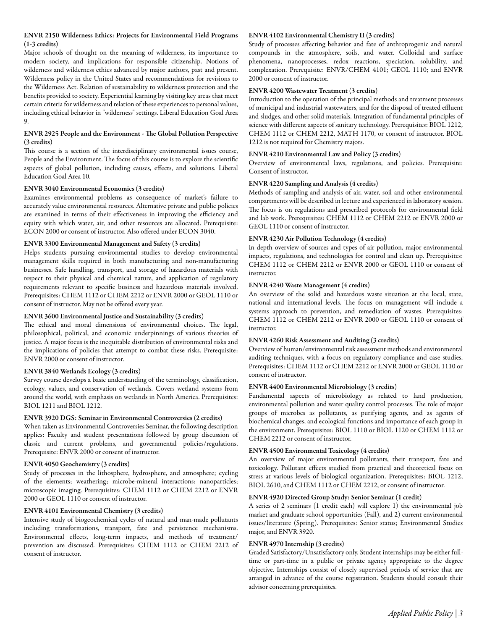# ENVR 2150 Wilderness Ethics: Projects for Environmental Field Programs (1-3 credits)

Major schools of thought on the meaning of wilderness, its importance to modern society, and implications for responsible citizenship. Notions of wilderness and wilderness ethics advanced by major authors, past and present. Wilderness policy in the United States and recommendations for revisions to the Wilderness Act. Relation of sustainability to wilderness protection and the benefits provided to society. Experiential learning by visiting key areas that meet certain criteria for wilderness and relation of these experiences to personal values, including ethical behavior in "wilderness" settings. Liberal Education Goal Area 9.

# ENVR 2925 People and the Environment - The Global Pollution Perspective (3 credits)

This course is a section of the interdisciplinary environmental issues course, People and the Environment. The focus of this course is to explore the scientific aspects of global pollution, including causes, effects, and solutions. Liberal Education Goal Area 10.

# ENVR 3040 Environmental Economics (3 credits)

Examines environmental problems as consequence of market's failure to accurately value environmental resources. Alternative private and public policies are examined in terms of their effectiveness in improving the efficiency and equity with which water, air, and other resources are allocated. Prerequisite: ECON 2000 or consent of instructor. Also offered under ECON 3040.

#### ENVR 3300 Environmental Management and Safety (3 credits)

Helps students pursuing environmental studies to develop environmental management skills required in both manufacturing and non-manufacturing businesses. Safe handling, transport, and storage of hazardous materials with respect to their physical and chemical nature, and application of regulatory requirements relevant to specific business and hazardous materials involved. Prerequisites: CHEM 1112 or CHEM 2212 or ENVR 2000 or GEOL 1110 or consent of instructor. May not be offered every year.

#### ENVR 3600 Environmental Justice and Sustainability (3 credits)

The ethical and moral dimensions of environmental choices. The legal, philosophical, political, and economic underpinnings of various theories of justice. A major focus is the inequitable distribution of environmental risks and the implications of policies that attempt to combat these risks. Prerequisite: ENVR 2000 or consent of instructor.

# ENVR 3840 Wetlands Ecology (3 credits)

Survey course develops a basic understanding of the terminology, classification, ecology, values, and conservation of wetlands. Covers wetland systems from around the world, with emphasis on wetlands in North America. Prerequisites: BIOL 1211 and BIOL 1212.

#### ENVR 3920 DGS: Seminar in Environmental Controversies (2 credits)

When taken as Environmental Controversies Seminar, the following description applies: Faculty and student presentations followed by group discussion of classic and current problems, and governmental policies/regulations. Prerequisite: ENVR 2000 or consent of instructor.

#### ENVR 4050 Geochemistry (3 credits)

Study of processes in the lithosphere, hydrosphere, and atmosphere; cycling of the elements; weathering; microbe-mineral interactions; nanoparticles; microscopic imaging. Prerequisites: CHEM 1112 or CHEM 2212 or ENVR 2000 or GEOL 1110 or consent of instructor.

# ENVR 4101 Environmental Chemistry (3 credits)

Intensive study of biogeochemical cycles of natural and man-made pollutants including transformations, transport, fate and persistence mechanisms. Environmental effects, long-term impacts, and methods of treatment/ prevention are discussed. Prerequisites: CHEM 1112 or CHEM 2212 of consent of instructor.

#### ENVR 4102 Environmental Chemistry II (3 credits)

Study of processes affecting behavior and fate of anthroprogenic and natural compounds in the atmosphere, soils, and water. Colloidal and surface phenomena, nanoprocesses, redox reactions, speciation, solubility, and complexation. Prerequisite: ENVR/CHEM 4101; GEOL 1110; and ENVR 2000 or consent of instructor.

#### ENVR 4200 Wastewater Treatment (3 credits)

Introduction to the operation of the principal methods and treatment processes of municipal and industrial wastewaters, and for the disposal of treated effluent and sludges, and other solid materials. Integration of fundamental principles of science with different aspects of sanitary technology. Prerequisites: BIOL 1212, CHEM 1112 or CHEM 2212, MATH 1170, or consent of instructor. BIOL 1212 is not required for Chemistry majors.

# ENVR 4210 Environmental Law and Policy (3 credits)

Overview of environmental laws, regulations, and policies. Prerequisite: Consent of instructor.

# ENVR 4220 Sampling and Analysis (4 credits)

Methods of sampling and analysis of air, water, soil and other environmental compartments will be described in lecture and experienced in laboratory session. The focus is on regulations and prescribed protocols for environmental field and lab work. Prerequisites: CHEM 1112 or CHEM 2212 or ENVR 2000 or GEOL 1110 or consent of instructor.

#### ENVR 4230 Air Pollution Technology (4 credits)

In depth overview of sources and types of air pollution, major environmental impacts, regulations, and technologies for control and clean up. Prerequisites: CHEM 1112 or CHEM 2212 or ENVR 2000 or GEOL 1110 or consent of instructor.

#### ENVR 4240 Waste Management (4 credits)

An overview of the solid and hazardous waste situation at the local, state, national and international levels. The focus on management will include a systems approach to prevention, and remediation of wastes. Prerequisites: CHEM 1112 or CHEM 2212 or ENVR 2000 or GEOL 1110 or consent of instructor.

# ENVR 4260 Risk Assessment and Auditing (3 credits)

Overview of human/environmental risk assessment methods and environmental auditing techniques, with a focus on regulatory compliance and case studies. Prerequisites: CHEM 1112 or CHEM 2212 or ENVR 2000 or GEOL 1110 or consent of instructor.

#### ENVR 4400 Environmental Microbiology (3 credits)

Fundamental aspects of microbiology as related to land production, environmental pollution and water quality control processes. The role of major groups of microbes as pollutants, as purifying agents, and as agents of biochemical changes, and ecological functions and importance of each group in the environment. Prerequisites: BIOL 1110 or BIOL 1120 or CHEM 1112 or CHEM 2212 or consent of instructor.

# ENVR 4500 Environmental Toxicology (4 credits)

An overview of major environmental pollutants, their transport, fate and toxicology. Pollutant effects studied from practical and theoretical focus on stress at various levels of biological organization. Prerequisites: BIOL 1212, BIOL 2610, and CHEM 1112 or CHEM 2212, or consent of instructor.

#### ENVR 4920 Directed Group Study: Senior Seminar (1 credit)

A series of 2 seminars (1 credit each) will explore 1) the environmental job market and graduate school opportunities (Fall), and 2) current environmental issues/literature (Spring). Prerequisites: Senior status; Environmental Studies major, and ENVR 3920.

#### ENVR 4970 Internship (3 credits)

Graded Satisfactory/Unsatisfactory only. Student internships may be either fulltime or part-time in a public or private agency appropriate to the degree objective. Internships consist of closely supervised periods of service that are arranged in advance of the course registration. Students should consult their advisor concerning prerequisites.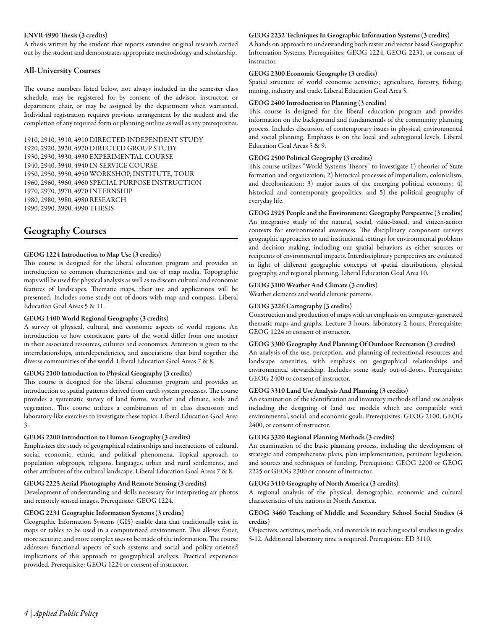#### ENVR 4990 Thesis (3 credits)

A thesis written by the student that reports extensive original research carried out by the student and demonstrates appropriate methodology and scholarship.

# All-University Courses

The course numbers listed below, not always included in the semester class schedule, may be registered for by consent of the advisor, instructor, or department chair, or may be assigned by the department when warranted. Individual registration requires previous arrangement by the student and the completion of any required form or planning outline as well as any prerequisites.

1910, 2910, 3910, 4910 DIRECTED INDEPENDENT STUDY 1920, 2920, 3920, 4920 DIRECTED GROUP STUDY 1930, 2930, 3930, 4930 EXPERIMENTAL COURSE 1940, 2940, 3940, 4940 IN-SERVICE COURSE 1950, 2950, 3950, 4950 WORKSHOP, INSTITUTE, TOUR 1960, 2960, 3960, 4960 SPECIAL PURPOSE INSTRUCTION 1970, 2970, 3970, 4970 INTERNSHIP 1980, 2980, 3980, 4980 RESEARCH 1990, 2990, 3990, 4990 THESIS

# Geography Courses

# GEOG 1224 Introduction to Map Use (3 credits)

This course is designed for the liberal education program and provides an introduction to common characteristics and use of map media. Topographic maps will be used for physical analysis as well as to discern cultural and economic features of landscapes. Thematic maps, their use and applications will be presented. Includes some study out-of-doors with map and compass. Liberal Education Goal Areas 5 & 11.

#### GEOG 1400 World Regional Geography (3 credits)

A survey of physical, cultural, and economic aspects of world regions. An introduction to how constituent parts of the world differ from one another in their associated resources, cultures and economics. Attention is given to the interrelationships, interdependencies, and associations that bind together the diverse communities of the world. Liberal Education Goal Areas 7 & 8.

#### GEOG 2100 Introduction to Physical Geography (3 credits)

This course is designed for the liberal education program and provides an introduction to spatial patterns derived from earth system processes. The course provides a systematic survey of land forms, weather and climate, soils and vegetation. This course utilizes a combination of in class discussion and laboratory-like exercises to investigate these topics. Liberal Education Goal Area 3.

#### GEOG 2200 Introduction to Human Geography (3 credits)

Emphasizes the study of geographical relationships and interactions of cultural, social, economic, ethnic, and political phenomena. Topical approach to population subgroups, religions, languages, urban and rural settlements, and other attributes of the cultural landscape. Liberal Education Goal Areas 7 & 8.

#### GEOG 2225 Aerial Photography And Remote Sensing (3 credits)

Development of understanding and skills necessary for interpreting air photos and remotely sensed images. Prerequisite: GEOG 1224.

# GEOG 2231 Geographic Information Systems (3 credits)

Geographic Information Systems (GIS) enable data that traditionally exist in maps or tables to be used in a computerized environment. This allows faster, more accurate, and more complex uses to be made of the information. The course addresses functional aspects of such systems and social and policy oriented implications of this approach to geographical analysis. Practical experience provided. Prerequisite: GEOG 1224 or consent of instructor.

#### GEOG 2232 Techniques In Geographic Information Systems (3 credits)

A hands on approach to understanding both raster and vector based Geographic Information Systems. Prerequisites: GEOG 1224, GEOG 2231, or consent of instructor.

#### GEOG 2300 Economic Geography (3 credits)

Spatial structure of world economic activities; agriculture, forestry, fishing, mining, industry and trade. Liberal Education Goal Area 5.

#### GEOG 2400 Introduction to Planning (3 credits)

This course is designed for the liberal education program and provides information on the background and fundamentals of the community planning process. Includes discussion of contemporary issues in physical, environmental and social planning. Emphasis is on the local and subregional levels. Liberal Education Goal Areas 5 & 9.

# GEOG 2500 Political Geography (3 credits)

This course utilizes "World Systems Theory" to investigate 1) theories of State formation and organization; 2) historical processes of imperialism, colonialism, and decolonization; 3) major issues of the emerging political economy; 4) historical and contemporary geopolitics; and 5) the political geography of everyday life.

GEOG 2925 People and the Environment: Geography Perspective (3 credits) An integrative study of the natural, social, value-based, and citizen-action contexts for environmental awareness. The disciplinary component surveys geographic approaches to and institutional settings for environmental problems and decision making, including our spatial behaviors as either sources or recipients of environmental impacts. Interdisciplinary perspectives are evaluated in light of different geographic concepts of spatial distributions, physical geography, and regional planning. Liberal Education Goal Area 10.

#### GEOG 3100 Weather And Climate (3 credits)

Weather elements and world climatic patterns.

#### GEOG 3226 Cartography (3 credits)

Construction and production of maps with an emphasis on computer-generated thematic maps and graphs. Lecture 3 hours, laboratory 2 hours. Prerequisite: GEOG 1224 or consent of instructor.

#### GEOG 3300 Geography And Planning Of Outdoor Recreation (3 credits)

An analysis of the use, perception, and planning of recreational resources and landscape amenities, with emphasis on geographical relationships and environmental stewardship. Includes some study out-of-doors. Prerequisite: GEOG 2400 or consent of instructor.

#### GEOG 3310 Land Use Analysis And Planning (3 credits)

An examination of the identification and inventory methods of land use analysis including the designing of land use models which are compatible with environmental, social, and economic goals. Prerequisites: GEOG 2100, GEOG 2400, or consent of instructor.

# GEOG 3320 Regional Planning Methods (3 credits)

An examination of the basic planning process, including the development of strategic and comprehensive plans, plan implementation, pertinent legislation, and sources and techniques of funding. Prerequisite: GEOG 2200 or GEOG 2225 or GEOG 2300 or consent of instructor.

#### GEOG 3410 Geography of North America (3 credits)

A regional analysis of the physical, demographic, economic and cultural characteristics of the nations in North America.

#### GEOG 3460 Teaching of Middle and Secondary School Social Studies (4 credits)

Objectives, activities, methods, and materials in teaching social studies in grades 5-12. Additional laboratory time is required. Prerequisite: ED 3110.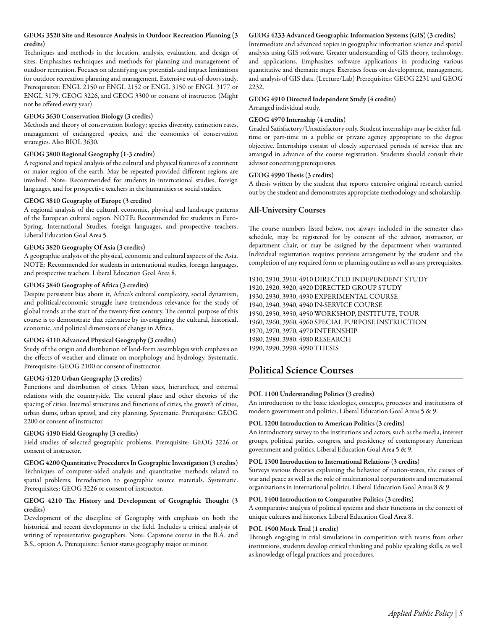# GEOG 3520 Site and Resource Analysis in Outdoor Recreation Planning (3 credits)

Techniques and methods in the location, analysis, evaluation, and design of sites. Emphasizes techniques and methods for planning and management of outdoor recreation. Focuses on identifying use potentials and impact limitations for outdoor recreation planning and management. Extensive out-of-doors study. Prerequisites: ENGL 2150 or ENGL 2152 or ENGL 3150 or ENGL 3177 or ENGL 3179, GEOG 3226, and GEOG 3300 or consent of instructor. (Might not be offered every year)

#### GEOG 3630 Conservation Biology (3 credits)

Methods and theory of conservation biology; species diversity, extinction rates, management of endangered species, and the economics of conservation strategies. Also BIOL 3630.

# GEOG 3800 Regional Geography (1-3 credits)

A regional and topical analysis of the cultural and physical features of a continent or major region of the earth. May be repeated provided different regions are involved. Note: Recommended for students in international studies, foreign languages, and for prospective teachers in the humanities or social studies.

#### GEOG 3810 Geography of Europe (3 credits)

A regional analysis of the cultural, economic, physical and landscape patterns of the European cultural region. NOTE: Recommended for students in Euro-Spring, International Studies, foreign languages, and prospective teachers. Liberal Education Goal Area 5.

#### GEOG 3820 Geography Of Asia (3 credits)

A geographic analysis of the physical, economic and cultural aspects of the Asia. NOTE: Recommended for students in international studies, foreign languages, and prospective teachers. Liberal Education Goal Area 8.

#### GEOG 3840 Geography of Africa (3 credits)

Despite persistent bias about it, Africa's cultural complexity, social dynamism, and political/economic struggle have tremendous relevance for the study of global trends at the start of the twenty-first century. The central purpose of this course is to demonstrate that relevance by investigating the cultural, historical, economic, and political dimensions of change in Africa.

# GEOG 4110 Advanced Physical Geography (3 credits)

Study of the origin and distribution of land-form assemblages with emphasis on the effects of weather and climate on morphology and hydrology. Systematic. Prerequisite: GEOG 2100 or consent of instructor.

#### GEOG 4120 Urban Geography (3 credits)

Functions and distribution of cities. Urban sizes, hierarchies, and external relations with the countryside. The central place and other theories of the spacing of cities. Internal structures and functions of cities, the growth of cities, urban slums, urban sprawl, and city planning. Systematic. Prerequisite: GEOG 2200 or consent of instructor.

#### GEOG 4190 Field Geography (3 credits)

Field studies of selected geographic problems. Prerequisite: GEOG 3226 or consent of instructor.

GEOG 4200 Quantitative Procedures In Geographic Investigation (3 credits) Techniques of computer-aided analysis and quantitative methods related to spatial problems. Introduction to geographic source materials. Systematic. Prerequisites: GEOG 3226 or consent of instructor.

#### GEOG 4210 The History and Development of Geographic Thought (3 credits)

Development of the discipline of Geography with emphasis on both the historical and recent developments in the field. Includes a critical analysis of writing of representative geographers. Note: Capstone course in the B.A. and B.S., option A. Prerequisite: Senior status geography major or minor.

# GEOG 4233 Advanced Geographic Information Systems (GIS) (3 credits)

Intermediate and advanced topics in geographic information science and spatial analysis using GIS software. Greater understanding of GIS theory, technology, and applications. Emphasizes software applications in producing various quantitative and thematic maps. Exercises focus on development, management, and analysis of GIS data. (Lecture/Lab) Prerequisites: GEOG 2231 and GEOG 2232.

# GEOG 4910 Directed Independent Study (4 credits)

Arranged individual study.

# GEOG 4970 Internship (4 credits)

Graded Satisfactory/Unsatisfactory only. Student internships may be either fulltime or part-time in a public or private agency appropriate to the degree objective. Internships consist of closely supervised periods of service that are arranged in advance of the course registration. Students should consult their advisor concerning prerequisites.

# GEOG 4990 Thesis (3 credits)

A thesis written by the student that reports extensive original research carried out by the student and demonstrates appropriate methodology and scholarship.

# All-University Courses

The course numbers listed below, not always included in the semester class schedule, may be registered for by consent of the advisor, instructor, or department chair, or may be assigned by the department when warranted. Individual registration requires previous arrangement by the student and the completion of any required form or planning outline as well as any prerequisites.

1910, 2910, 3910, 4910 DIRECTED INDEPENDENT STUDY 1920, 2920, 3920, 4920 DIRECTED GROUP STUDY 1930, 2930, 3930, 4930 EXPERIMENTAL COURSE 1940, 2940, 3940, 4940 IN-SERVICE COURSE 1950, 2950, 3950, 4950 WORKSHOP, INSTITUTE, TOUR 1960, 2960, 3960, 4960 SPECIAL PURPOSE INSTRUCTION 1970, 2970, 3970, 4970 INTERNSHIP 1980, 2980, 3980, 4980 RESEARCH 1990, 2990, 3990, 4990 THESIS

# Political Science Courses

# POL 1100 Understanding Politics (3 credits)

An introduction to the basic ideologies, concepts, processes and institutions of modern government and politics. Liberal Education Goal Areas 5 & 9.

#### POL 1200 Introduction to American Politics (3 credits)

An introductory survey to the institutions and actors, such as the media, interest groups, political parties, congress, and presidency of contemporary American government and politics. Liberal Education Goal Area 5 & 9.

#### POL 1300 Introduction to International Relations (3 credits)

Surveys various theories explaining the behavior of nation-states, the causes of war and peace as well as the role of multinational corporations and international organizations in international politics. Liberal Education Goal Areas 8 & 9.

#### POL 1400 Introduction to Comparative Politics (3 credits)

A comparative analysis of political systems and their functions in the context of unique cultures and histories. Liberal Education Goal Area 8.

#### POL 1500 Mock Trial (1 credit)

Through engaging in trial simulations in competition with teams from other institutions, students develop critical thinking and public speaking skills, as well as knowledge of legal practices and procedures.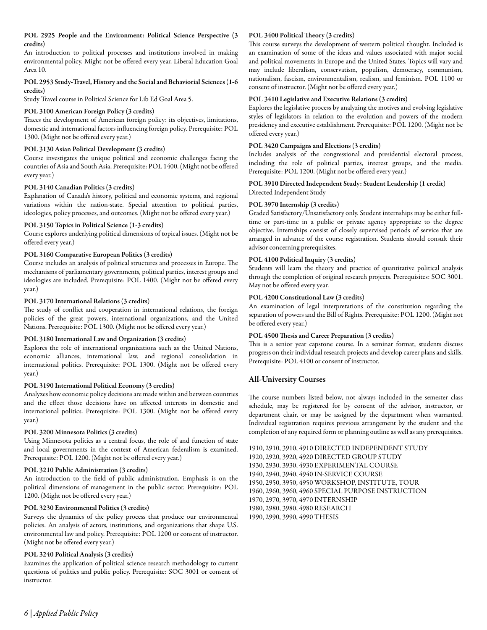# POL 2925 People and the Environment: Political Science Perspective (3 credits)

An introduction to political processes and institutions involved in making environmental policy. Might not be offered every year. Liberal Education Goal Area 10.

# POL 2953 Study-Travel, History and the Social and Behaviorial Sciences (1-6 credits)

Study Travel course in Political Science for Lib Ed Goal Area 5.

# POL 3100 American Foreign Policy (3 credits)

Traces the development of American foreign policy: its objectives, limitations, domestic and international factors influencing foreign policy. Prerequisite: POL 1300. (Might not be offered every year.)

# POL 3130 Asian Political Development (3 credits)

Course investigates the unique political and economic challenges facing the countries of Asia and South Asia. Prerequisite: POL 1400. (Might not be offered every year.)

# POL 3140 Canadian Politics (3 credits)

Explanation of Canada's history, political and economic systems, and regional variations within the nation-state. Special attention to political parties, ideologies, policy processes, and outcomes. (Might not be offered every year.)

# POL 3150 Topics in Political Science (1-3 credits)

Course explores underlying political dimensions of topical issues. (Might not be offered every year.)

# POL 3160 Comparative European Politics (3 credits)

Course includes an analysis of political structures and processes in Europe. The mechanisms of parliamentary governments, political parties, interest groups and ideologies are included. Prerequisite: POL 1400. (Might not be offered every year.)

# POL 3170 International Relations (3 credits)

The study of conflict and cooperation in international relations, the foreign policies of the great powers, international organizations, and the United Nations. Prerequisite: POL 1300. (Might not be offered every year.)

# POL 3180 International Law and Organization (3 credits)

Explores the role of international organizations such as the United Nations, economic alliances, international law, and regional consolidation in international politics. Prerequisite: POL 1300. (Might not be offered every year.)

# POL 3190 International Political Economy (3 credits)

Analyzes how economic policy decisions are made within and between countries and the effect those decisions have on affected interests in domestic and international politics. Prerequisite: POL 1300. (Might not be offered every year.)

# POL 3200 Minnesota Politics (3 credits)

Using Minnesota politics as a central focus, the role of and function of state and local governments in the context of American federalism is examined. Prerequisite: POL 1200. (Might not be offered every year.)

# POL 3210 Public Administration (3 credits)

An introduction to the field of public administration. Emphasis is on the political dimensions of management in the public sector. Prerequisite: POL 1200. (Might not be offered every year.)

# POL 3230 Environmental Politics (3 credits)

Surveys the dynamics of the policy process that produce our environmental policies. An analysis of actors, institutions, and organizations that shape U.S. environmental law and policy. Prerequisite: POL 1200 or consent of instructor. (Might not be offered every year.)

# POL 3240 Political Analysis (3 credits)

Examines the application of political science research methodology to current questions of politics and public policy. Prerequisite: SOC 3001 or consent of instructor.

# POL 3400 Political Theory (3 credits)

This course surveys the development of western political thought. Included is an examination of some of the ideas and values associated with major social and political movements in Europe and the United States. Topics will vary and may include liberalism, conservatism, populism, democracy, communism, nationalism, fascism, environmentalism, realism, and feminism. POL 1100 or consent of instructor. (Might not be offered every year.)

# POL 3410 Legislative and Executive Relations (3 credits)

Explores the legislative process by analyzing the motives and evolving legislative styles of legislators in relation to the evolution and powers of the modern presidency and executive establishment. Prerequisite: POL 1200. (Might not be offered every year.)

# POL 3420 Campaigns and Elections (3 credits)

Includes analysis of the congressional and presidential electoral process, including the role of political parties, interest groups, and the media. Prerequisite: POL 1200. (Might not be offered every year.)

# POL 3910 Directed Independent Study: Student Leadership (1 credit) Directed Independent Study

# POL 3970 Internship (3 credits)

Graded Satisfactory/Unsatisfactory only. Student internships may be either fulltime or part-time in a public or private agency appropriate to the degree objective. Internships consist of closely supervised periods of service that are arranged in advance of the course registration. Students should consult their advisor concerning prerequisites.

# POL 4100 Political Inquiry (3 credits)

Students will learn the theory and practice of quantitative political analysis through the completion of original research projects. Prerequisites: SOC 3001. May not be offered every year.

# POL 4200 Constitutional Law (3 credits)

An examination of legal interpretations of the constitution regarding the separation of powers and the Bill of Rights. Prerequisite: POL 1200. (Might not be offered every year.)

# POL 4500 Thesis and Career Preparation (3 credits)

This is a senior year capstone course. In a seminar format, students discuss progress on their individual research projects and develop career plans and skills. Prerequisite: POL 4100 or consent of instructor.

# All-University Courses

The course numbers listed below, not always included in the semester class schedule, may be registered for by consent of the advisor, instructor, or department chair, or may be assigned by the department when warranted. Individual registration requires previous arrangement by the student and the completion of any required form or planning outline as well as any prerequisites.

1910, 2910, 3910, 4910 DIRECTED INDEPENDENT STUDY 1920, 2920, 3920, 4920 DIRECTED GROUP STUDY 1930, 2930, 3930, 4930 EXPERIMENTAL COURSE 1940, 2940, 3940, 4940 IN-SERVICE COURSE 1950, 2950, 3950, 4950 WORKSHOP, INSTITUTE, TOUR 1960, 2960, 3960, 4960 SPECIAL PURPOSE INSTRUCTION 1970, 2970, 3970, 4970 INTERNSHIP 1980, 2980, 3980, 4980 RESEARCH 1990, 2990, 3990, 4990 THESIS